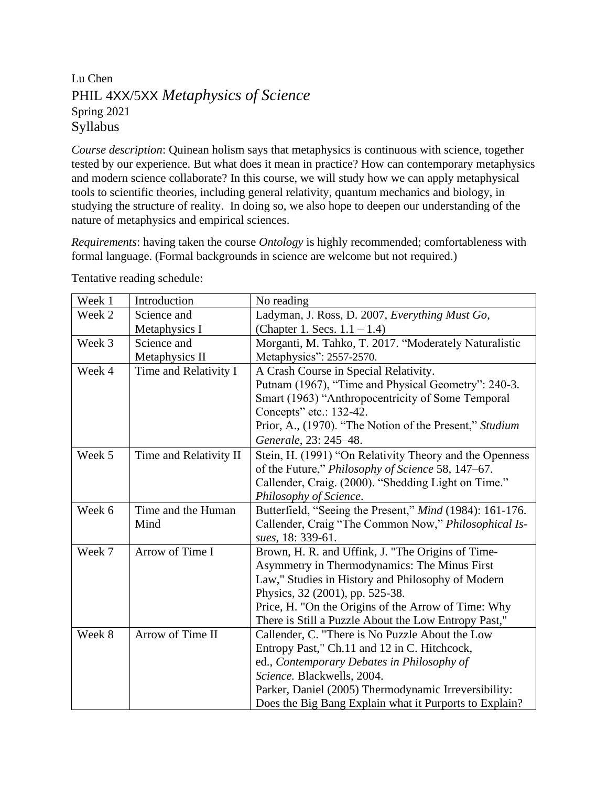## Lu Chen PHIL 4XX/5XX *Metaphysics of Science* Spring 2021 Syllabus

*Course description*: Quinean holism says that metaphysics is continuous with science, together tested by our experience. But what does it mean in practice? How can contemporary metaphysics and modern science collaborate? In this course, we will study how we can apply metaphysical tools to scientific theories, including general relativity, quantum mechanics and biology, in studying the structure of reality. In doing so, we also hope to deepen our understanding of the nature of metaphysics and empirical sciences.

*Requirements*: having taken the course *Ontology* is highly recommended; comfortableness with formal language. (Formal backgrounds in science are welcome but not required.)

| Week 1 | Introduction           | No reading                                               |
|--------|------------------------|----------------------------------------------------------|
| Week 2 | Science and            | Ladyman, J. Ross, D. 2007, Everything Must Go,           |
|        | Metaphysics I          | (Chapter 1. Secs. $1.1 - 1.4$ )                          |
| Week 3 | Science and            | Morganti, M. Tahko, T. 2017. "Moderately Naturalistic    |
|        | Metaphysics II         | Metaphysics": 2557-2570.                                 |
| Week 4 | Time and Relativity I  | A Crash Course in Special Relativity.                    |
|        |                        | Putnam (1967), "Time and Physical Geometry": 240-3.      |
|        |                        | Smart (1963) "Anthropocentricity of Some Temporal        |
|        |                        | Concepts" etc.: 132-42.                                  |
|        |                        | Prior, A., (1970). "The Notion of the Present," Studium  |
|        |                        | Generale, 23: 245-48.                                    |
| Week 5 | Time and Relativity II | Stein, H. (1991) "On Relativity Theory and the Openness  |
|        |                        | of the Future," Philosophy of Science 58, 147-67.        |
|        |                        | Callender, Craig. (2000). "Shedding Light on Time."      |
|        |                        | Philosophy of Science.                                   |
| Week 6 | Time and the Human     | Butterfield, "Seeing the Present," Mind (1984): 161-176. |
|        | Mind                   | Callender, Craig "The Common Now," Philosophical Is-     |
|        |                        | sues, 18: 339-61.                                        |
| Week 7 | Arrow of Time I        | Brown, H. R. and Uffink, J. "The Origins of Time-        |
|        |                        | Asymmetry in Thermodynamics: The Minus First             |
|        |                        | Law," Studies in History and Philosophy of Modern        |
|        |                        | Physics, 32 (2001), pp. 525-38.                          |
|        |                        | Price, H. "On the Origins of the Arrow of Time: Why      |
|        |                        | There is Still a Puzzle About the Low Entropy Past,"     |
| Week 8 | Arrow of Time II       | Callender, C. "There is No Puzzle About the Low          |
|        |                        | Entropy Past," Ch.11 and 12 in C. Hitchcock,             |
|        |                        | ed., Contemporary Debates in Philosophy of               |
|        |                        | Science. Blackwells, 2004.                               |
|        |                        | Parker, Daniel (2005) Thermodynamic Irreversibility:     |
|        |                        | Does the Big Bang Explain what it Purports to Explain?   |

Tentative reading schedule: